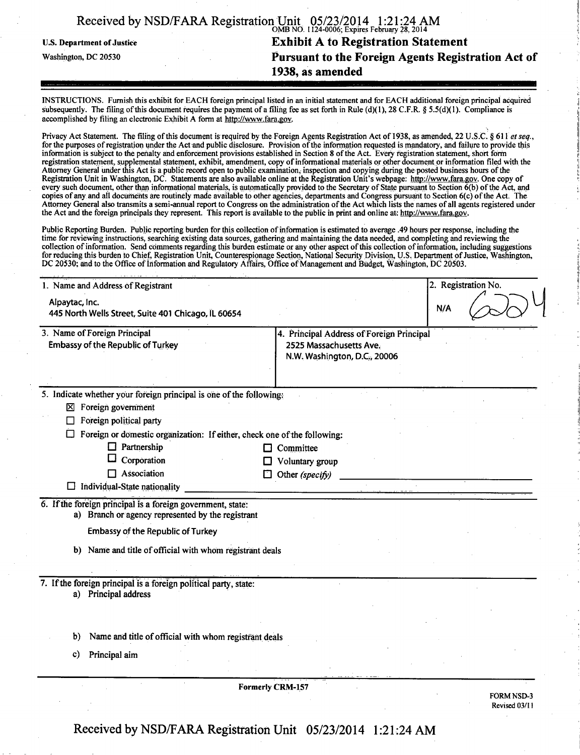|                                   | Received by NSD/FARA Registration Unit 05/23/2014 1:21:24 AM |  |
|-----------------------------------|--------------------------------------------------------------|--|
| <b>U.S. Department of Justice</b> | <b>Exhibit A to Registration Statement</b>                   |  |
| Washington, DC 20530              | Pursuant to the Foreign Agents Registration Act of           |  |
|                                   | 1938, as amended                                             |  |
|                                   |                                                              |  |

INSTRUCTIONS. Furnish this exhibit for EACH foreign principal listed in an initial statement and for EACH additional foreign principal acquired subsequently. The filing of this document requires the payment of a filing fee as set forth in Rule (d)(1), 28 C.F.R. § 5.5(d)(1). Compliance is accomplished by filing an electronic Exhibit A form at http://www.fara.gov.

Privacy Act Statement. The filing of this document is required by the Foreign Agents Registration Act of 1938, as amended, 22 U.S.C. § 611 et seq., for the purposes of registration under the Act and public disclosure. Provision of the information requested is mandatory, and failure to provide this information is subject to the penalty and enforcement provisions established in Section 8 of the Act. Every registration statement, short form registration statement, supplemental statement, exhibit, amendment, copy of informational materials or other document or information filed with the Attorney General under this Act is a public record open to public examination, inspection and copying during the posted business hours ofthe Registration Unit in Washington, DC. Statements are also available online at the Registration Unit's webpage: http://www.fara.gov. One copy of every such document, other than informational materials, is automatically provided to the Secretary of State pursuant to Section 6(b) of the Act, and copies of any and all documents are routinely made available to other agencies, departments and Congress pursuant to Section 6(c) of the Act. The Attorney General also transmits a semi-annual report to Congress on the administration of the Act which lists the names of all agents registered under the Act and the foreign principals they represent. This report is available to the public in print and online at: http://www.fara.gov.

Public Reporting Burden. Public reporting burden for this collection of information is estimated to average .49 hours per response, including the time for reviewing instructions, searching existing data sources, gathering and maintaining the data needed, and completing and reviewing the collection of information. Send comments regarding this burden estimate or any other aspect of this collection of information, including suggestions for reducing this burden to Chief, Registration Unit, Counterespionage Section, National Security Division, U.S. Department of Justice, Washington, DC 20530; and to the Office of information and Regulatory Affairs, Office of Management and Budget, Washington, DC 20503.

| 1. Name and Address of Registrant                                                                                |                                                                                                      | 2. Registration No. |  |                                    |
|------------------------------------------------------------------------------------------------------------------|------------------------------------------------------------------------------------------------------|---------------------|--|------------------------------------|
| Alpaytac, Inc.<br>445 North Wells Street, Suite 401 Chicago, IL 60654                                            |                                                                                                      | N/A                 |  |                                    |
| 3. Name of Foreign Principal<br><b>Embassy of the Republic of Turkey</b>                                         | 4. Principal Address of Foreign Principal<br>2525 Massachusetts Ave.<br>N.W. Washington, D.C., 20006 |                     |  |                                    |
| 5. Indicate whether your foreign principal is one of the following:                                              |                                                                                                      |                     |  |                                    |
| $\boxtimes$ Foreign government                                                                                   |                                                                                                      |                     |  |                                    |
| Foreign political party                                                                                          |                                                                                                      |                     |  |                                    |
| Foreign or domestic organization: If either, check one of the following:                                         |                                                                                                      |                     |  |                                    |
| $\Box$ Partnership                                                                                               | Committee                                                                                            |                     |  |                                    |
| Corporation                                                                                                      | Voluntary group                                                                                      |                     |  |                                    |
| Association                                                                                                      | Other (specify)                                                                                      |                     |  |                                    |
| $\Box$ Individual-State nationality                                                                              |                                                                                                      |                     |  |                                    |
| 6. If the foreign principal is a foreign government, state:<br>a) Branch or agency represented by the registrant |                                                                                                      |                     |  |                                    |
| <b>Embassy of the Republic of Turkey</b>                                                                         |                                                                                                      |                     |  |                                    |
| b) Name and title of official with whom registrant deals                                                         |                                                                                                      |                     |  |                                    |
| 7. If the foreign principal is a foreign political party, state:<br>a) Principal address                         |                                                                                                      |                     |  |                                    |
| Name and title of official with whom registrant deals<br>b)                                                      |                                                                                                      |                     |  |                                    |
| Principal aim<br>C)                                                                                              |                                                                                                      |                     |  |                                    |
|                                                                                                                  | <b>Formerly CRM-157</b>                                                                              |                     |  |                                    |
|                                                                                                                  |                                                                                                      |                     |  | <b>FORM NSD-3</b><br>Revised 03/11 |

Received by NSD/FARA Registration Unit 05/23/2014 1:21:24 AM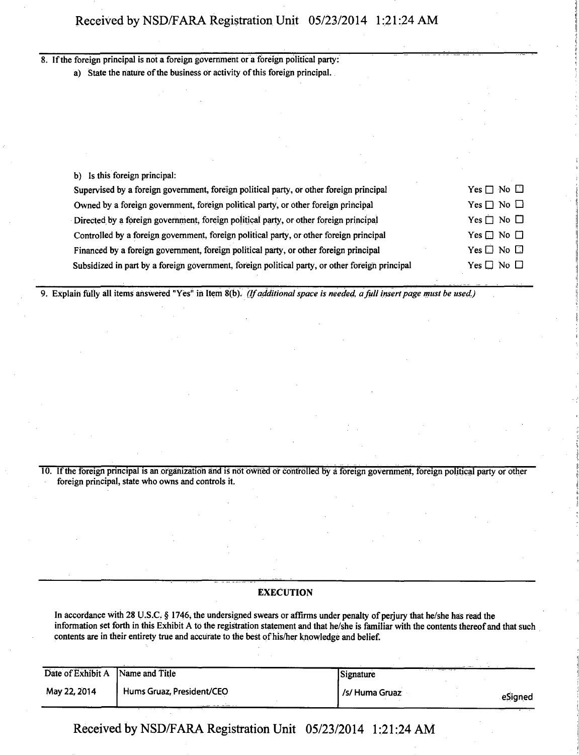# Received by NSD/FARA Registration Unit 05/23/2014 1:21:24 AM

8. If the foreign principal is not a foreign government or a foreign political party:

a) State the nature of the business or activity of this foreign principal.

| b) Is this foreign principal:                                                                   |                            |
|-------------------------------------------------------------------------------------------------|----------------------------|
| Supervised by a foreign government, foreign political party, or other foreign principal         | Yes $\square$ No $\square$ |
| Owned by a foreign government, foreign political party, or other foreign principal              | Yes $\Box$ No $\Box$       |
| Directed by a foreign government, foreign political party, or other foreign principal           | Yes $\Box$ No $\Box$       |
| Controlled by a foreign government, foreign political party, or other foreign principal         | Yes $\Box$ No $\Box$       |
| Financed by a foreign government, foreign political party, or other foreign principal           | Yes $\square$ No $\square$ |
| Subsidized in part by a foreign government, foreign political party, or other foreign principal | $Yes \Box No \Box$         |

*9. Explain fully all items answered "Yes" in Item 8(b). (If additional space is needed, a full insert page must be used.)* 

10. If the foreign principal is an organization arid is not owned or controlled by a foreign government, foreign political party or other foreign principal, state who owns and controls it.

# **EXECUTION**

In accordance with 28 U.S.C,  $\S$  1746, the undersigned swears or affirms under penalty of perjury that he/she has read the information set forth in this Exhibit A to the registration statement and that he/she is familiar with the contents thereof and that such contents are in their entirety true and accurate to the best of his/her knowledge and belief.

| Date of Exhibit A | Name and Title            | Signature      |         |
|-------------------|---------------------------|----------------|---------|
| May 22, 2014      | Hums Gruaz, President/CEO | /s/ Huma Gruaz | eSigned |

Received by NSD/FARA Registration Unit 05/23/2014 1:21:24 AM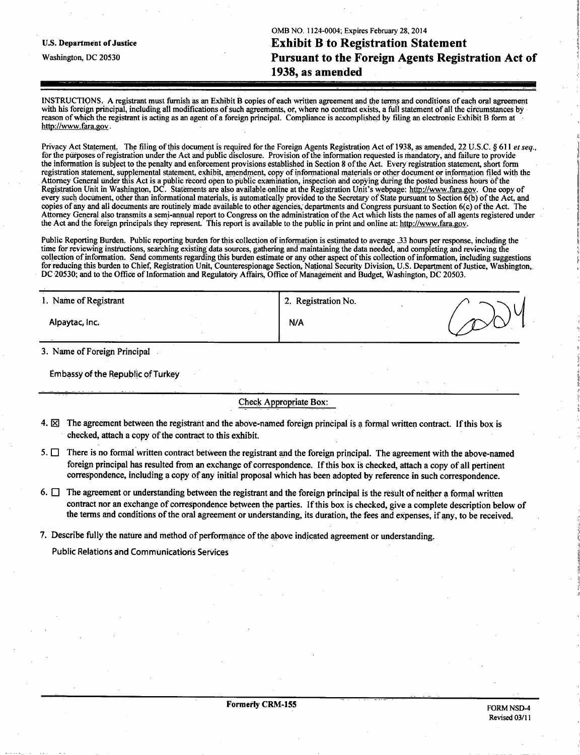OMB NO. 1124-0004; Expires February 28, 2014 **u.s. Department of justice Exhibit B to Registration Statement Washington, DC 20530 Pursuant to the Foreign Agents Registration Act of 1938, as amended** 

INSTRUCTIONS. A registrant must furnish as an Exhibit B copies of each written agreement and the terms and conditions of each oral agreement with his foreign principal, including all modifications of such agreements, or, where no contract exists, a full statement of all the circumstances by reason of which the registrant is acting as an agent of a foreign principal. Compliance is accomplished by filing an electronic Exhibit B form at http://www.fara.gov.

Privacy Act Statement. The filing of this document is required for the Foreign Agents Registration Act of 1938, as amended, 22 U.S.C. § 611 et seq., for the purposes of registration under the Act and public disclosure. Provision of the information requested is mandatory, and failure to provide the information is subject to the penalty and enforcement provisions established in Section 8 of the Act. Every registration statement, short form registration statement, supplemental statement, exhibit, amendment, copy of informational materials or other document or information filed with the Attorney General under this Act is a public record Open to public examination, inspection arid copying during the posted business hours of the Registration Unit in Washington, DC. Statements are also available online at the Registration Unit's webpage: http://www.fara.gov. One copy of every such document, other than informational materials, is automatically provided to the Secretary of State pursuant to Section 6(b) of the Act, and copies of any and all documents are routinely made available to other agencies, departments and Congress pursuant to Section 6(c) of the Act. The Attorney General also transmits a semi-annual report to Congress on the administration of the Act which lists the names of all agents registered under the Act and the foreign principals they represent. This report is available to the public in print and online at: http://www.fara.gov.

Public Reporting Burden, Public reporting burden for this collection of information is estimated to average ,33 hours per response, including the time for reviewing instructions, searching existing data sources, gathering and maintaining the data needed, and completing and reviewing the collection of information. Send comments regarding this burden estimate or any other aspect of this collection of information, including suggestions for reducing this burden to Chief, Registration Unit, Counterespionage Section, National Security Division, U.S. Department of Justice, Washington,. DC 20530; and to the Office of Information and Regulatory Affairs, Office of Management arid Budget, Washington, DC 20503.

| 1. Name of Registrant          | 2. Registration No. |  |
|--------------------------------|---------------------|--|
| Alpaytac, Inc.                 | N/A                 |  |
| 2. Monto of Donaton Delustical |                     |  |

3. Name of Foreign Principal

Embassy of the Republic of Turkey

Check Appropriate Box:

- 4.  $\boxtimes$  The agreement between the registrant and the above-named foreign principal is a formal written contract. If this box is checked, attach a copy of the contract to this exhibit.
- 5.  $\Box$  There is no formal written contract between the registrant and the foreign principal. The agreement with the above-named foreign principal has resulted from an exchange of correspondence. If this box is checked, attach a copy of all pertinent correspondence, including a copy of any initial proposal which has been adopted by reference in such correspondence.
- 6.  $\Box$  The agreement or understanding between the registrant and the foreign principal is the result of neither a formal written contract nor an exchange of correspondence between the parties. If this box is checked, give a complete description below of the terms and conditions of the oral agreement or understanding, its duration, the fees and expenses, if any, to be received.
- 7. Describe fully the nature and method of performance of the above indicated agreement or understanding.

Public Relations and Communications Services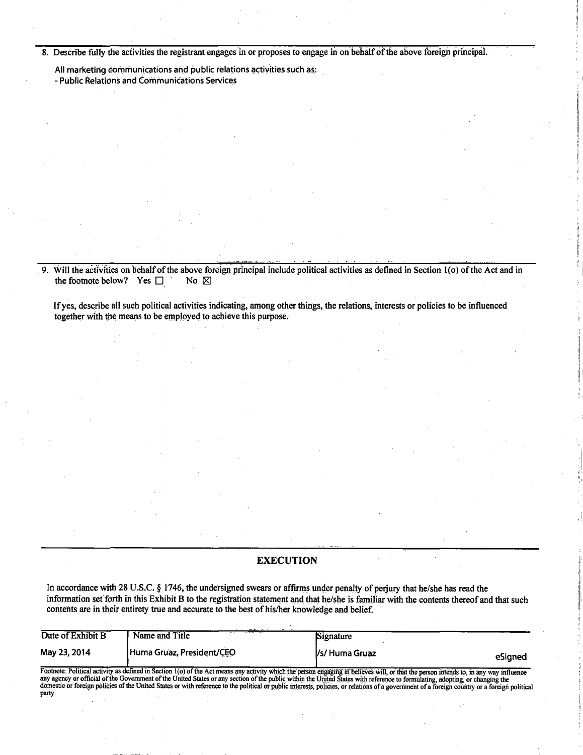**8. Describe fully the activities the registrant engages in or proposes to engage in on behalf of the above foreign principal.** 

**All marketing communications and public relations activities such as: - Public Relations and Communications Services** 

9. Will the activities on behalf of the above foreign principal include political activities as defined in Section 1(o) of the Act and in the footnote below? Yes  $\Box$  No  $\boxtimes$ the footnote below? Yes  $\Box$ 

**If yes, describe all such political activities indicating, among other things, the relations, interests or policies to be influenced together with the means to be employed to achieve this purpose.** 

#### **EXECUTION**

**In accordance with 28 U.S.C. § 1746, the undersigned swears or affirms under penalty of perjury that he/she has read the information set'forth in this Exhibit B to the registration statement and that he/she is familiar with the contents thereof and that such contents are in their entirety true and accurate to the best of his/her knowledge and belief.** 

| Date of Exhibit B | Name and Title                                                                                                                                                                                                                                                                                                                                                                                                                                                                                                                                                        | Signature             |         |
|-------------------|-----------------------------------------------------------------------------------------------------------------------------------------------------------------------------------------------------------------------------------------------------------------------------------------------------------------------------------------------------------------------------------------------------------------------------------------------------------------------------------------------------------------------------------------------------------------------|-----------------------|---------|
| May 23, 2014      | Huma Gruaz, President/CEO                                                                                                                                                                                                                                                                                                                                                                                                                                                                                                                                             | <i>Vs/</i> Huma Gruaz | eSigned |
| party.            | Footnote: Political activity as defined in Section 1(o) of the Act means any activity which the person engaging in believes will, or that the person intends to, in any way influence<br>any agency or official of the Government of the United States or any section of the public within the United States with reference to formulating, adopting, or changing the<br>domestic or foreign policies of the United States or with reference to the political or public interests, policies, or relations of a government of a foreign country or a foreign political |                       |         |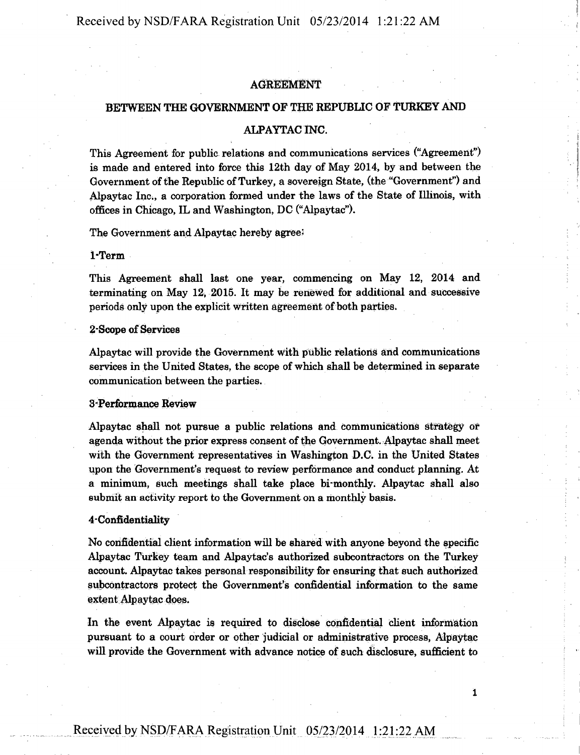Received by NSD/FARA Registration Unit 05/23/2014 1:21:22 A M

# AGREEMENT

# **BETWEEN THE GOVERNMENT OF THE REPUBLIC OF TURKEY AND**

# **ALPAYTACINC.**

This Agreement for public relations and communications services ("Agreement") is made and entered into force this 12th day of May 2014, by and between the Government of the Republic of Turkey, a sovereign State, (the "Government") and Alpaytac Inc., a corporation formed under the laws of the State of Illinois, with offices in Chicago, IL and Washington, DC ("Alpaytac").

The Government and Alpaytac hereby agree;

#### 1- Term

This Agreement shall last one year, commencing on May 12, 2014 and terminating on May 12, 2015. It may be renewed for additional and successive periods only upon the explicit written agreement of both parties.

# 2- Scope of Services

Alpaytac will provide the Government with public relations and communications services in the United States, the scope of which shall be determined in separate communication between the parties.

### 3- Performance Review

Alpaytac shall not pursue a public relations and communications strategy or agenda without the prior express consent of the Government. Alpaytac shall meet with the Government representatives in Washington D.C. in the United States upon the Government's request to review performance and conduct planning. At a minimum, such meetings shall take place bi-monthly. Alpaytac shall also submit an activity report to the Government on a monthly basis.

#### 4- Confidentiality

No confidential client information will be shared with anyone beyond the specific Alpaytac Turkey team and Alpaytac's authorized subcontractors on the Turkey account. Alpaytac takes personal responsibility for ensuring that such authorized subcontractors protect the Government's confidential information to the same extent Alpaytac does.

In the event Alpaytac is required to disclose confidential client information pursuant to a court order or other judicial or administrative process, Alpaytac will provide the Government with advance notice of such disclosure, sufficient to

1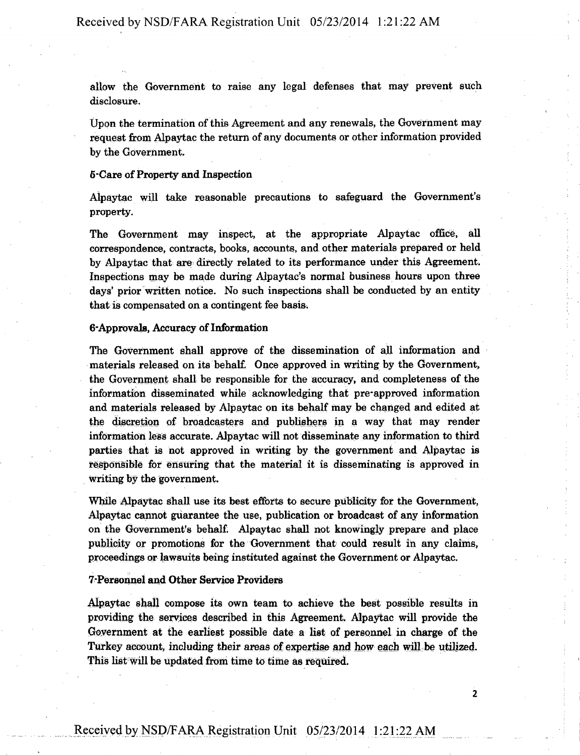allow the Government to raise any legal defenses that may prevent such disclosure.

Upon the termination of this Agreement and any renewals, the Government may request from Alpaytac the return of any documents or other information provided by the Government.

# **6-Care of Property and Inspection**

Alpaytac will take reasonable precautions to safeguard the Government's property.

The Government may inspect, at the appropriate Alpaytac office, all correspondence, contracts, books, accounts, and other materials prepared or held by Alpaytac that are directly related to its performance under this Agreement. Inspections may be made during Alpaytac's normal business hours upon three days' prior written notice. No such inspections shall be conducted by an entity that is compensated on a contingent fee basis.

#### **6- Approvals, Accuracy of Information**

The Government shall approve of the dissemination of all information and materials released on its'behalf. Once approved in writing by the Government, the Government shall be responsible for the accuracy, and completeness of the information disseminated while acknowledging that pre-approved information and materials released by Alpaytac on its behalf may be changed and edited at the discretion of broadcasters and publishers in a way that may render information less accurate. Alpaytac will not disseminate any information to third parties that is not approved in writing by the government and Alpaytac is responsible for ensuring that the material it is disseminating is approved in writing by the government.

While Alpaytac shall use its best efforts to secure publicity for the Government, Alpaytac cannot guarantee the use, publication or broadcast of any information on the Government's behalf. Alpaytac shall not knowingly prepare and place publicity or promotions for the Government that could result in any claims, proceedings or lawsuits being instituted against the Government or Alpaytac.

#### **7- Personnel and Other Service Providers**

Alpaytac shall compose its own team to achieve the best possible results in providing the services described in this Agreement. Alpaytac will provide the Government at the earliest possible date a list of personnel in charge of the Turkey account, including their areas of expertise and how each will be utilized. This list will be updated from time to time as required.

2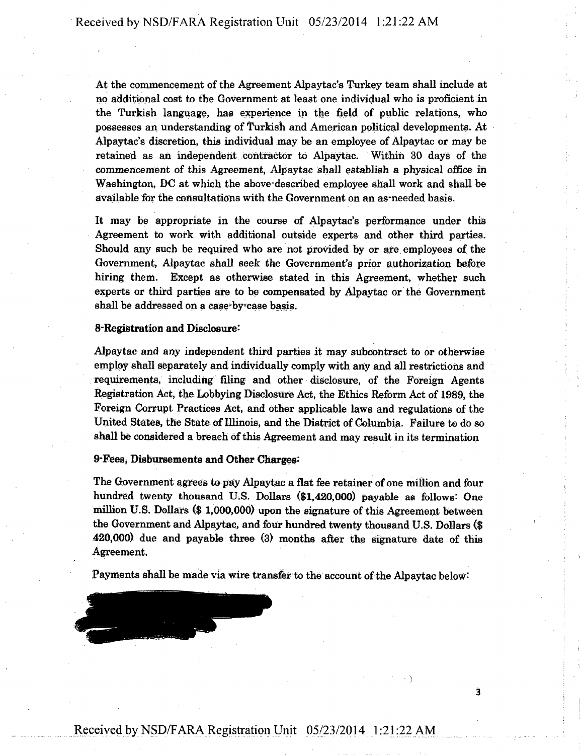At the commencement of the Agreement Alpaytac's Turkey team shall include at no additional cost to the Government at least one individual who is proficient in the Turkish language, has experience in the field of public relations, who possesses an understanding of Turkish and American political developments. At Alpaytac's discretion, this individual may be an employee of Alpaytac or may be retained as an independent contractor to Alpaytac. Within 30 days of the commencement of this Agreement, Alpaytac shall establish a physical office in Washington, DC at which the above-described employee shall work and shall be available for the consultations with the Government on an as-needed basis.

It may be appropriate in the course of Alpaytac's performance under this Agreement to work with additional outside experts and other third parties. Should any such be required who are not provided by or are employees of the Government, Alpaytac shall seek the Government's prior authorization before hiring them. Except as otherwise stated in this Agreement, whether such experts or third parties are to be compensated by Alpaytac or the Government shall be addressed on a case-by-case basis.

### 8-Registration and Disclosure:

Alpaytac and any independent third parties it may subcontract to or otherwise employ shall separately and individually comply with any and all restrictions and requirements, including filing and other disclosure, of the Foreign Agents Registration Act, the Lobbying Disclosure Act, the Ethics Reform Act of 1989, the Foreign Corrupt Practices Act, and other applicable laws and regulations of the United States, the State of Illinois, and the District of Columbia. Failure to do so shall be considered a breach of this Agreement and may result in its termination

#### **9- FeeSj Disbursements and Other Charges:**

The Government agrees to pay Alpaytac a flat fee retainer of one million and four hundred twenty thousand U.S. Dollars (\$1,420,000) payable as follows: One million U.S. Dollars (\$ 1,000,006) upon the signature of this Agreement between the Government and Alpaytac, and four hundred twenty thousand U.S. Dollars (\$ 420,000) due and payable three (3) months after the signature date of this Agreement.

Payments shall be made via wire transfer to the account of the Alpaytac below:

 $\mathbf{\dot{3}}$ 

Received by NSD/FARA Registration Unit 05/23/2014 1:21:22 A M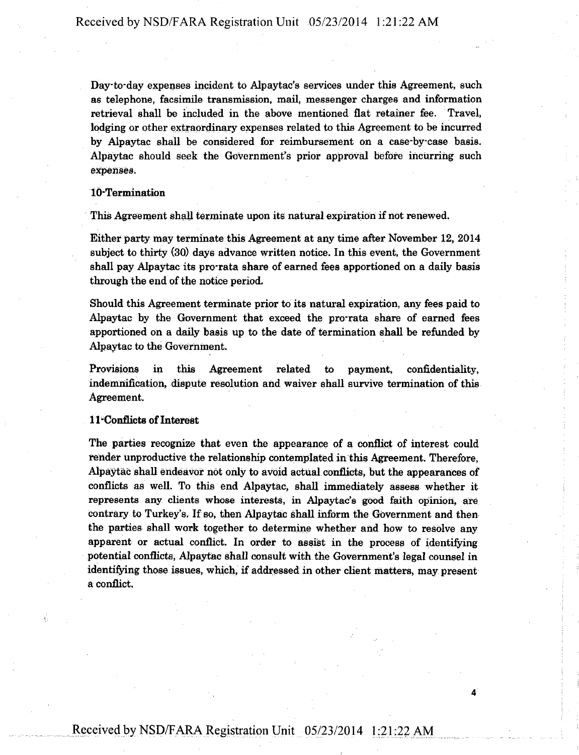Day-to-day expenses incident to Alpaytac's services under this Agreement, such as telephone, facsimile transmission, mail, messenger charges and information retrieval shall be included in the above mentioned flat retainer fee. Travel, lodging or other extraordinary expenses related to this Agreement to be incurred by Alpaytac shall be considered for reimbursement on a case-by-case basis. Alpaytac should seek the Government's prior approval before incurring such expenses.

# 10-Termination

This Agreement shall terminate upon its natural expiration if not renewed.

Either party may terminate this Agreement at any time after November 12, 2014 subject to thirty (30) days advance written notice. In this event, the Government shall pay Alpaytac its pro-rata share of earned fees apportioned on a daily basis through the end of the notice period.

Should this Agreement terminate prior to its natural expiration, any fees paid to Alpaytac by the Government that exceed the pro-rata share of earned fees apportioned on a daily basis up to the date of termination shall be refunded by Alpaytac to the Government.

Provisions in this Agreement related to payment, confidentiality, indemnification, dispute resolution and waiver shall survive termination of this Agreement.

### 11- Conflicts of Interest

The parties recognize that even the appearance of a conflict of interest could render unproductive the relationship contemplated in this Agreement. Therefore, Alpaytac shall endeavor not only to avoid actual conflicts, but the appearances of conflicts as well. To this end Alpaytac, shall immediately assess whether it represents any clients whose interests, in Alpaytac's good faith opinion, are contrary to Turkey's. If so, then Alpaytac shall inform the Government and then the parties shall work together to determine whether and how to resolve any apparent or actual conflict. In order to assist in the process of identifying potential conflicts, Alpaytac shall consult with the Government's legal counsel in identifying those issues, which, if addressed in other client matters, may present a conflict.

4

# Received by NSD/FARA Registration Unit 05/23/2014 1:21:22 AM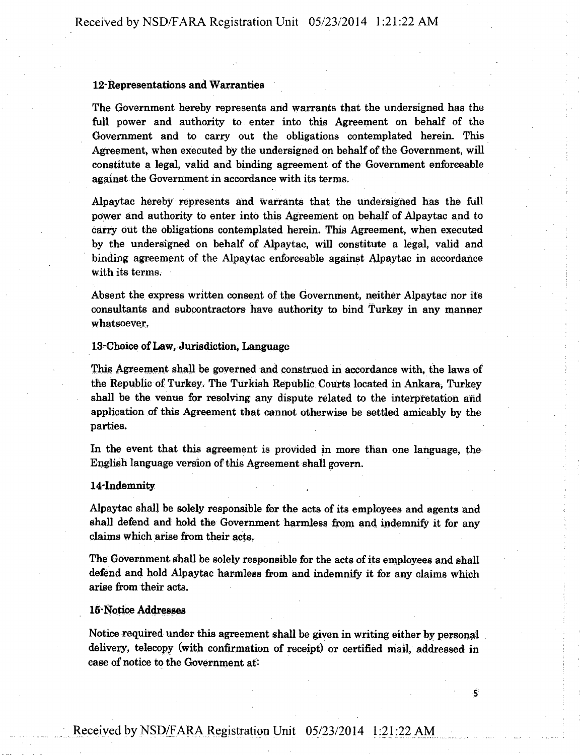### 12- Representations and Warranties

The Government hereby represents and warrants that the undersigned has the full power and authority to enter into this Agreement on behalf of the Government and to carry out the obligations contemplated herein. This Agreement, when executed by the undersigned on behalf of the Government, will constitute a legal, valid and binding agreement of the Government enforceable against the Government in accordance with its terms.

Alpaytac hereby represents and warrants that the undersigned has the full power and authority to enter into this Agreement on behalf of Alpaytac and to carry out the obligations contemplated herein. This Agreement, when executed by the undersigned on behalf of Alpaytac, will constitute a legal, valid and binding agreement of the Alpaytac enforceable against Alpaytac in accordance with its terms.

Absent the express written consent of the Government, neither Alpaytac nor its consultants and subcontractors have authority to bind Turkey in any manner whatsoever.

#### 13- Choice of Law, Jurisdiction, Language

This Agreement shall be governed and construed in accordance with, the laws of the Republic of Turkey. The Turkish Republic Courts located in Ankara, Turkey shall be the venue for resolving any dispute related to the interpretation and application of this Agreement that cannot otherwise be settled amicably by the parties.

In the event that this agreement is provided in more than one language, the English language version of this Agreement shall govern.

#### 14-Indemnity

Alpaytac shall be solely responsible for the acts of its employees and agents and shall defend and hold the Government harmless from and indemnify it for any claims which arise from their acts.

The Government shall be solely responsible for the acts of its employees and shall defend and hold Alpaytac harmless from and indemnify it for any claims which arise from their acts.

# **16-Notice Addresses**

Notice required under this agreement shall be given in writing either by personal delivery, telecopy (with confirmation of receipt) or certified mail, addressed in case of notice to the Government at:

**S**